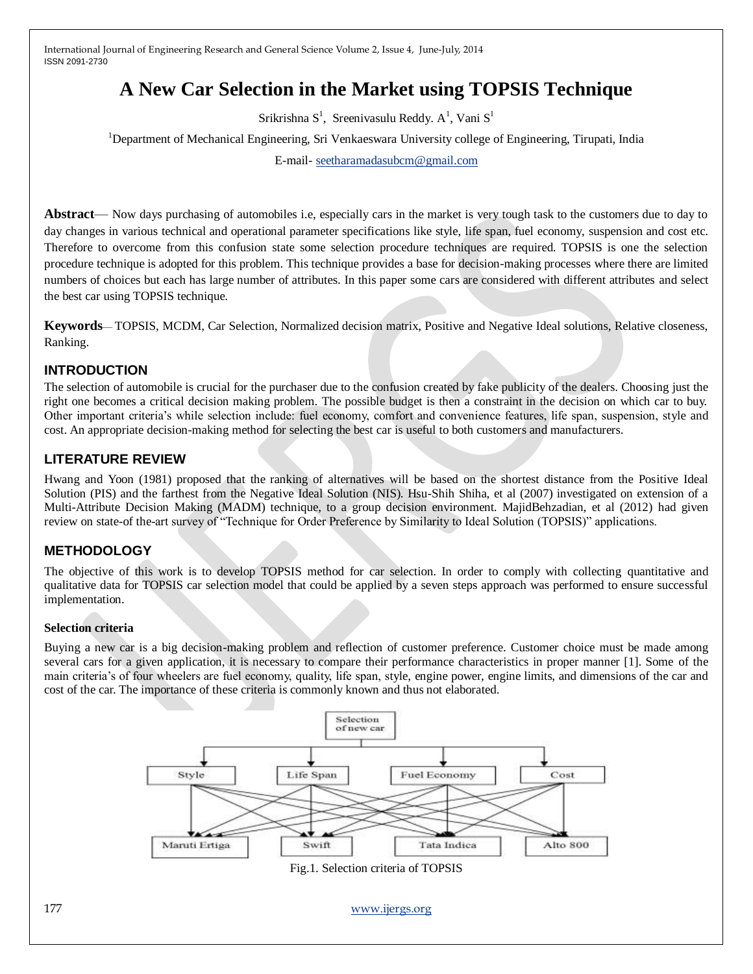# **A New Car Selection in the Market using TOPSIS Technique**

Srikrishna  $S^1$ , Sreenivasulu Reddy. A<sup>1</sup>, Vani  $S^1$ 

<sup>1</sup>Department of Mechanical Engineering, Sri Venkaeswara University college of Engineering, Tirupati, India

E-mail- [seetharamadasubcm@gmail.com](mailto:seetharamadasubcm@gmail.com)

**Abstract**— Now days purchasing of automobiles i.e, especially cars in the market is very tough task to the customers due to day to day changes in various technical and operational parameter specifications like style, life span, fuel economy, suspension and cost etc. Therefore to overcome from this confusion state some selection procedure techniques are required. TOPSIS is one the selection procedure technique is adopted for this problem. This technique provides a base for decision-making processes where there are limited numbers of choices but each has large number of attributes. In this paper some cars are considered with different attributes and select the best car using TOPSIS technique.

**Keywords**— TOPSIS, MCDM, Car Selection, Normalized decision matrix, Positive and Negative Ideal solutions, Relative closeness, Ranking.

## **INTRODUCTION**

The selection of automobile is crucial for the purchaser due to the confusion created by fake publicity of the dealers. Choosing just the right one becomes a critical decision making problem. The possible budget is then a constraint in the decision on which car to buy. Other important criteria's while selection include: fuel economy, comfort and convenience features, life span, suspension, style and cost. An appropriate decision-making method for selecting the best car is useful to both customers and manufacturers.

## **LITERATURE REVIEW**

Hwang and Yoon (1981) proposed that the ranking of alternatives will be based on the shortest distance from the Positive Ideal Solution (PIS) and the farthest from the Negative Ideal Solution (NIS). Hsu-Shih Shiha, et al (2007) investigated on extension of a Multi-Attribute Decision Making (MADM) technique, to a group decision environment. MajidBehzadian, et al (2012) had given review on state-of the-art survey of "Technique for Order Preference by Similarity to Ideal Solution (TOPSIS)" applications.

## **METHODOLOGY**

The objective of this work is to develop TOPSIS method for car selection. In order to comply with collecting quantitative and qualitative data for TOPSIS car selection model that could be applied by a seven steps approach was performed to ensure successful implementation.

## **Selection criteria**

Buying a new car is a big decision-making problem and reflection of customer preference. Customer choice must be made among several cars for a given application, it is necessary to compare their performance characteristics in proper manner [1]. Some of the main criteria's of four wheelers are fuel economy, quality, life span, style, engine power, engine limits, and dimensions of the car and cost of the car. The importance of these criteria is commonly known and thus not elaborated.

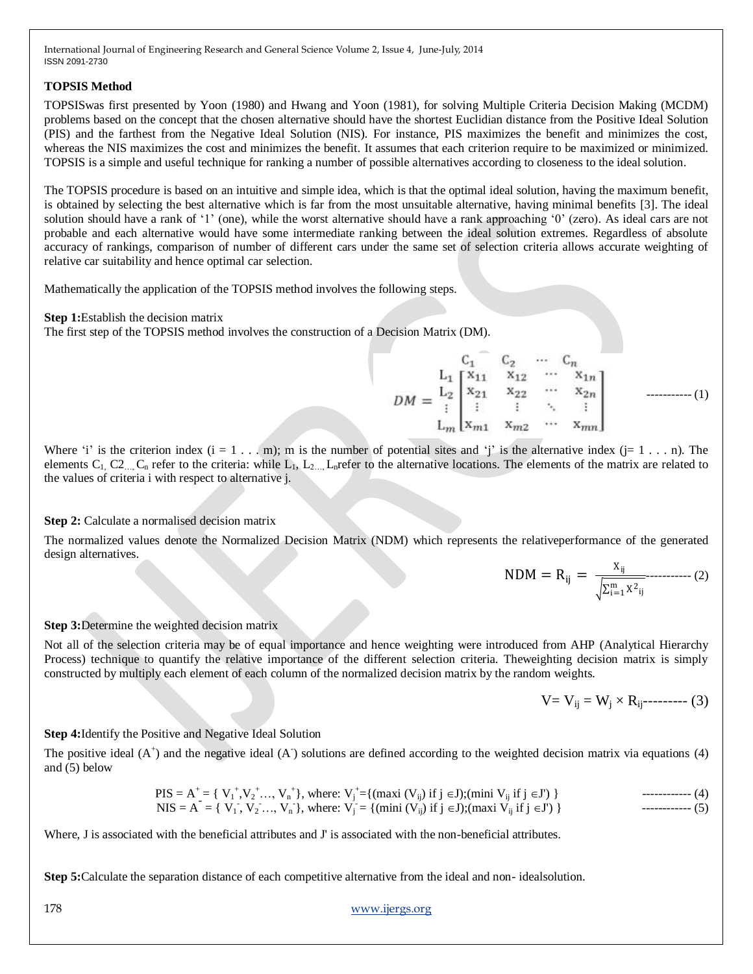#### **TOPSIS Method**

TOPSISwas first presented by Yoon (1980) and Hwang and Yoon (1981), for solving Multiple Criteria Decision Making (MCDM) problems based on the concept that the chosen alternative should have the shortest Euclidian distance from the Positive Ideal Solution (PIS) and the farthest from the Negative Ideal Solution (NIS)*.* For instance, PIS maximizes the benefit and minimizes the cost, whereas the NIS maximizes the cost and minimizes the benefit. It assumes that each criterion require to be maximized or minimized. TOPSIS is a simple and useful technique for ranking a number of possible alternatives according to closeness to the ideal solution.

The TOPSIS procedure is based on an intuitive and simple idea, which is that the optimal ideal solution, having the maximum benefit, is obtained by selecting the best alternative which is far from the most unsuitable alternative, having minimal benefits [3]. The ideal solution should have a rank of '1' (one), while the worst alternative should have a rank approaching '0' (zero). As ideal cars are not probable and each alternative would have some intermediate ranking between the ideal solution extremes. Regardless of absolute accuracy of rankings, comparison of number of different cars under the same set of selection criteria allows accurate weighting of relative car suitability and hence optimal car selection.

Mathematically the application of the TOPSIS method involves the following steps.

#### **Step 1:**Establish the decision matrix

The first step of the TOPSIS method involves the construction of a Decision Matrix (DM).

$$
DM = \begin{bmatrix} C_1 & C_2 & \cdots & C_n \\ L_1 & X_{11} & X_{12} & \cdots & X_{1n} \\ L_2 & X_{21} & X_{22} & \cdots & X_{2n} \\ \vdots & \vdots & \ddots & \vdots \\ L_m & X_{m1} & X_{m2} & \cdots & X_{mn} \end{bmatrix}
$$
 (1)

Where 'i' is the criterion index  $(i = 1 \ldots m)$ ; m is the number of potential sites and 'i' is the alternative index  $(j = 1 \ldots n)$ . The elements  $C_1$ ,  $C_2$ <sub>…,  $C_n$ </sub> refer to the criteria: while  $L_1$ ,  $L_2$ <sub>…,</sub>  $L_n$  refer to the alternative locations. The elements of the matrix are related to the values of criteria i with respect to alternative j.

## **Step 2:** Calculate a normalised decision matrix

The normalized values denote the Normalized Decision Matrix (NDM) which represents the relativeperformance of the generated design alternatives.

$$
NDM = R_{ij} = \frac{X_{ij}}{\sqrt{\sum_{i=1}^{m} X^{2}_{ij}}} \dots \dots \dots \dots (2)
$$

#### **Step 3:**Determine the weighted decision matrix

Not all of the selection criteria may be of equal importance and hence weighting were introduced from AHP (Analytical Hierarchy Process) technique to quantify the relative importance of the different selection criteria. Theweighting decision matrix is simply constructed by multiply each element of each column of the normalized decision matrix by the random weights.

$$
V = V_{ij} = W_j \times R_{ij} \text{---} \text{---} \text{ (3)}
$$

#### **Step 4:**Identify the Positive and Negative Ideal Solution

The positive ideal  $(A^+)$  and the negative ideal  $(A)$  solutions are defined according to the weighted decision matrix via equations  $(4)$ and (5) below

PIS = A<sup>+</sup> = { V<sup>1</sup> + ,V<sup>2</sup> <sup>+</sup>…, V<sup>n</sup> + }, where: V<sup>j</sup> + ={(maxi (Vij) if j J);(mini Vij if j J') } ------------ (4) NIS = A- = { V<sup>1</sup> - , V<sup>2</sup> -…, V<sup>n</sup> - }, where: V<sup>j</sup> - = {(mini (Vij) if j J);(maxi Vij if j J') } ------------ (5)

Where, J is associated with the beneficial attributes and J' is associated with the non-beneficial attributes.

**Step 5:**Calculate the separation distance of each competitive alternative from the ideal and non- idealsolution.

178 [www.ijergs.org](http://www.ijergs.org/)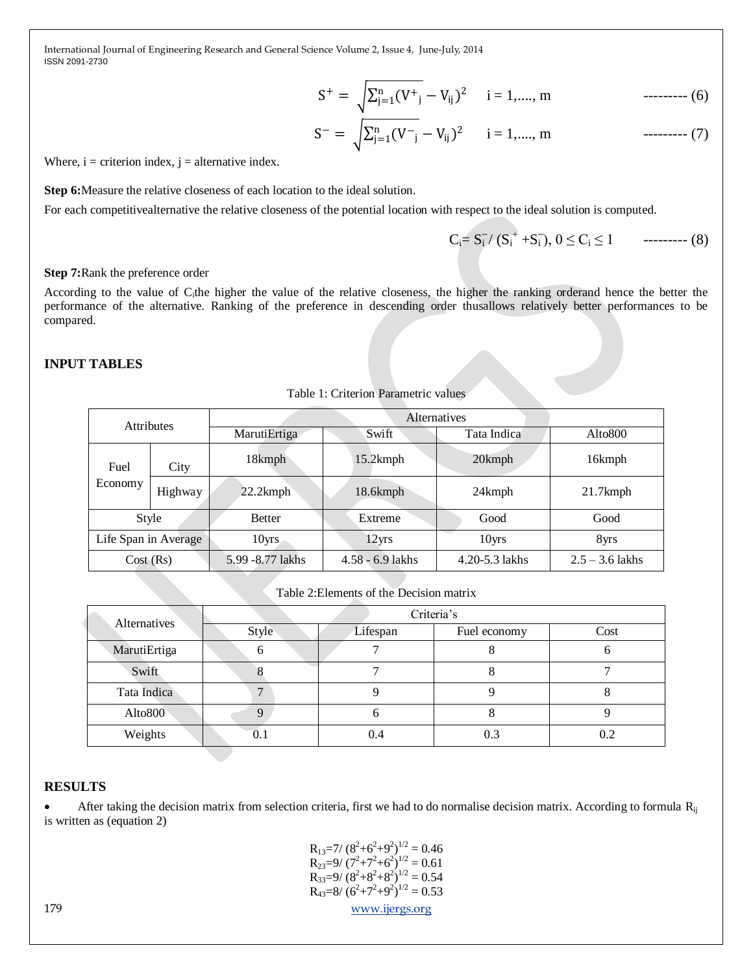$$
S^{+} = \sqrt{\sum_{j=1}^{n} (V^{+})} - V_{ij})^{2}
$$
 i = 1, ..., m (6)

$$
S^{-} = \sqrt{\sum_{j=1}^{n} (V^{-})} - V_{ij})^2 \qquad i = 1, \dots, m \qquad \qquad \text{---} \qquad (7)
$$

Where,  $i =$  criterion index,  $j =$  alternative index.

**Step 6:**Measure the relative closeness of each location to the ideal solution.

For each competitivealternative the relative closeness of the potential location with respect to the ideal solution is computed.

Ci= S<sup>i</sup> ̶ / (S<sup>i</sup> + +S<sup>i</sup> ̶ ), 0 ≤ C<sup>i</sup> ≤ 1 --------- (8)

#### **Step 7:**Rank the preference order

According to the value of C<sub>i</sub>the higher the value of the relative closeness, the higher the ranking orderand hence the better the performance of the alternative. Ranking of the preference in descending order thusallows relatively better performances to be compared.

## **INPUT TABLES**

| <b>Attributes</b>    |         | Alternatives      |                    |                |                     |
|----------------------|---------|-------------------|--------------------|----------------|---------------------|
|                      |         | MarutiErtiga      | Swift              | Tata Indica    | Alto <sub>800</sub> |
| Fuel<br>Economy      | City    | 18kmph            | $15.2$ kmph        | 20kmph         | 16kmph              |
|                      | Highway | 22.2kmph          | 18.6kmph           | 24kmph         | $21.7$ kmph         |
| Style                |         | <b>Better</b>     | Extreme            | Good           | Good                |
| Life Span in Average |         | 10 <sub>yrs</sub> | 12yrs              | 10yrs          | 8yrs                |
| Cost(Rs)             |         | 5.99 - 8.77 lakhs | $4.58 - 6.9$ lakhs | 4.20-5.3 lakhs | $2.5 - 3.6$ lakhs   |

Table 1: Criterion Parametric values

| Table 2: Elements of the Decision matrix |  |  |
|------------------------------------------|--|--|
|                                          |  |  |

| Alternatives        | Criteria's |          |              |      |
|---------------------|------------|----------|--------------|------|
|                     | Style      | Lifespan | Fuel economy | Cost |
| MarutiErtiga        |            |          |              |      |
| Swift               |            |          |              |      |
| Tata Indica         | ┑          |          |              |      |
| Alto <sub>800</sub> |            |          |              |      |
| Weights             |            |          | 0.3          |      |

#### **RESULTS**

 $\bullet$  After taking the decision matrix from selection criteria, first we had to do normalise decision matrix. According to formula  $R_{ii}$ is written as (equation 2)

179 [www.ijergs.org](http://www.ijergs.org/)  $R_{13}=7/(8^2+6^2+9^2)^{1/2}=0.46$  $R_{23}=9/(7^2+7^2+6^2)^{1/2}=0.61$  $R_{33}=9/(8^2+8^2+8^2)^{1/2}=0.54$  $R_{43}=8/(6^2+7^2+9^2)^{1/2}=0.53$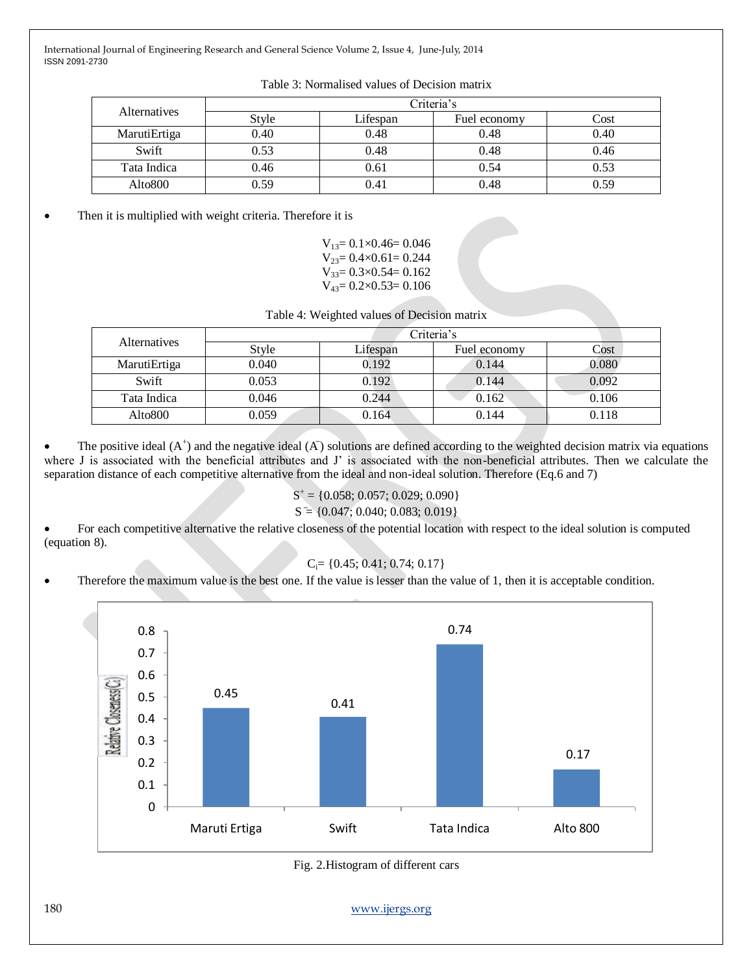| <b>Alternatives</b> | Criteria's |          |              |      |
|---------------------|------------|----------|--------------|------|
|                     | Style      | Lifespan | Fuel economy | Cost |
| MarutiErtiga        | 0.40       | 0.48     | 0.48         | 0.40 |
| Swift               | 0.53       | 0.48     | 0.48         | 0.46 |
| Tata Indica         | 0.46       | 0.61     | 0.54         | 0.53 |
| Alto <sub>800</sub> | 0.59       | ).41     | 0.48         | 0.59 |

Table 3: Normalised values of Decision matrix

• Then it is multiplied with weight criteria. Therefore it is

| $V_{13} = 0.1 \times 0.46 = 0.046$ |
|------------------------------------|
| $V_{23} = 0.4 \times 0.61 = 0.244$ |
| $V_{33} = 0.3 \times 0.54 = 0.162$ |
| $V_{43} = 0.2 \times 0.53 = 0.106$ |

Table 4: Weighted values of Decision matrix

| <b>Alternatives</b> | Criteria's |          |              |       |  |
|---------------------|------------|----------|--------------|-------|--|
|                     | Style      | Lifespan | Fuel economy | Cost  |  |
| MarutiErtiga        | 0.040      | 0.192    | 0.144        | 0.080 |  |
| Swift               | 0.053      | 0.192    | 0.144        | 0.092 |  |
| Tata Indica         | 0.046      | 0.244    | 0.162        | 0.106 |  |
| Alto <sub>800</sub> | 0.059      | 0.164    | 0.144        | 0.118 |  |

• The positive ideal  $(A^+)$  and the negative ideal  $(A)$  solutions are defined according to the weighted decision matrix via equations where J is associated with the beneficial attributes and J' is associated with the non-beneficial attributes. Then we calculate the separation distance of each competitive alternative from the ideal and non-ideal solution. Therefore (Eq.6 and 7)

## $S^+ = \{0.058; 0.057; 0.029; 0.090\}$

$$
S = \{0.047; 0.040; 0.083; 0.019\}
$$

 For each competitive alternative the relative closeness of the potential location with respect to the ideal solution is computed (equation 8).

$$
C_i = \{0.45; 0.41; 0.74; 0.17\}
$$

Therefore the maximum value is the best one. If the value is lesser than the value of 1, then it is acceptable condition.



Fig. 2.Histogram of different cars

180 [www.ijergs.org](http://www.ijergs.org/)